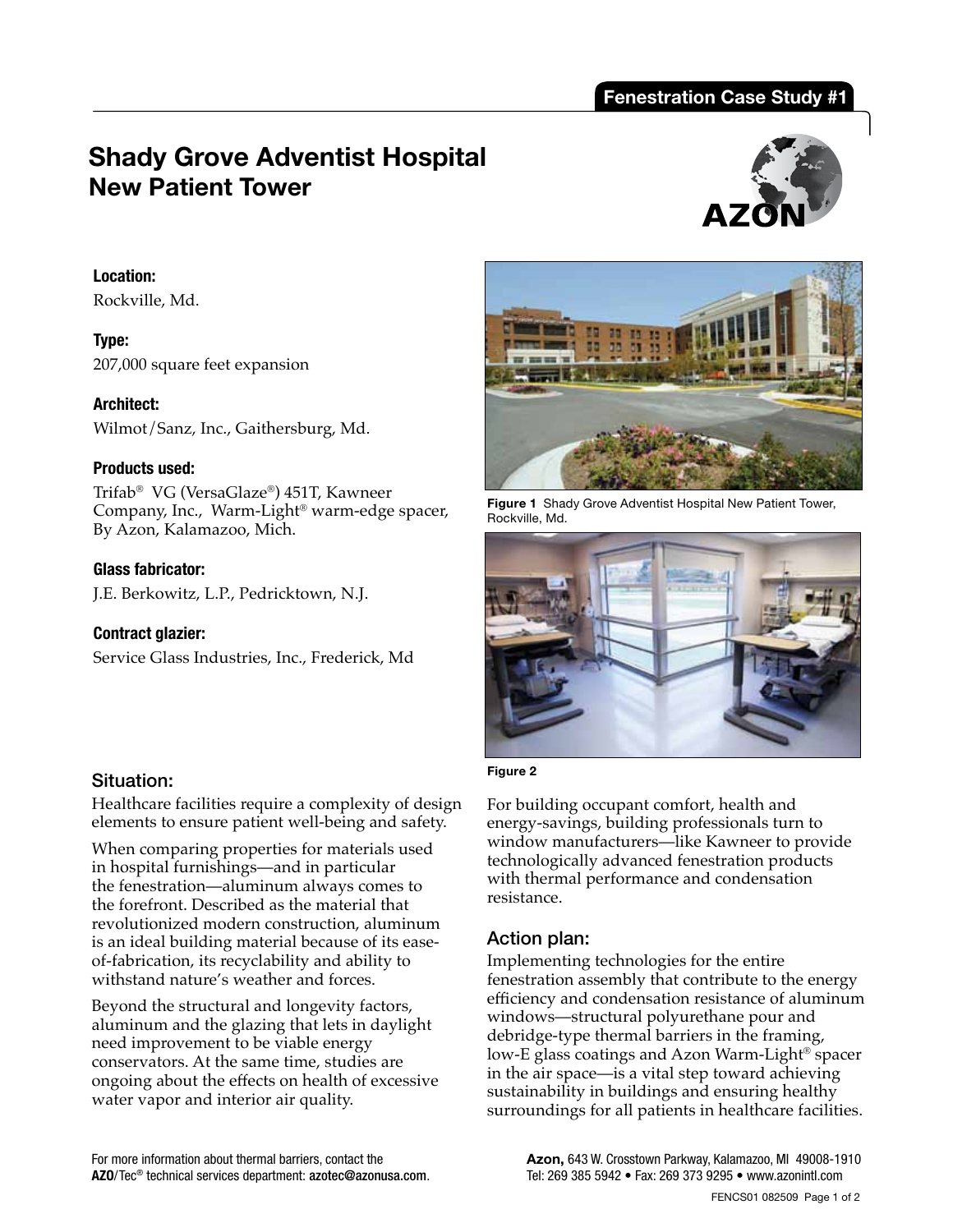# **Shady Grove Adventist Hospital New Patient Tower**



### **Location:**

Rockville, Md.

**Type:**  207,000 square feet expansion

### **Architect:**

Wilmot/Sanz, Inc., Gaithersburg, Md.

### **Products used:**

Trifab® VG (VersaGlaze®) 451T, Kawneer Company, Inc., Warm-Light® warm-edge spacer, By Azon, Kalamazoo, Mich.

### **Glass fabricator:**

J.E. Berkowitz, L.P., Pedricktown, N.J.

## **Contract glazier:**

Service Glass Industries, Inc., Frederick, Md

## Situation:

Healthcare facilities require a complexity of design elements to ensure patient well-being and safety.

When comparing properties for materials used in hospital furnishings—and in particular the fenestration—aluminum always comes to the forefront. Described as the material that revolutionized modern construction, aluminum is an ideal building material because of its easeof-fabrication, its recyclability and ability to withstand nature's weather and forces.

Beyond the structural and longevity factors, aluminum and the glazing that lets in daylight need improvement to be viable energy conservators. At the same time, studies are ongoing about the effects on health of excessive water vapor and interior air quality.



**Figure 1** Shady Grove Adventist Hospital New Patient Tower, Rockville, Md.



#### **Figure 2**

For building occupant comfort, health and energy-savings, building professionals turn to window manufacturers—like Kawneer to provide technologically advanced fenestration products with thermal performance and condensation resistance.

## Action plan:

Implementing technologies for the entire fenestration assembly that contribute to the energy efficiency and condensation resistance of aluminum windows—structural polyurethane pour and debridge-type thermal barriers in the framing, low-E glass coatings and Azon Warm-Light® spacer in the air space—is a vital step toward achieving sustainability in buildings and ensuring healthy surroundings for all patients in healthcare facilities.

**Azon,** 643 W. Crosstown Parkway, Kalamazoo, MI 49008-1910 Tel: 269 385 5942 • Fax: 269 373 9295 • www.azonintl.com